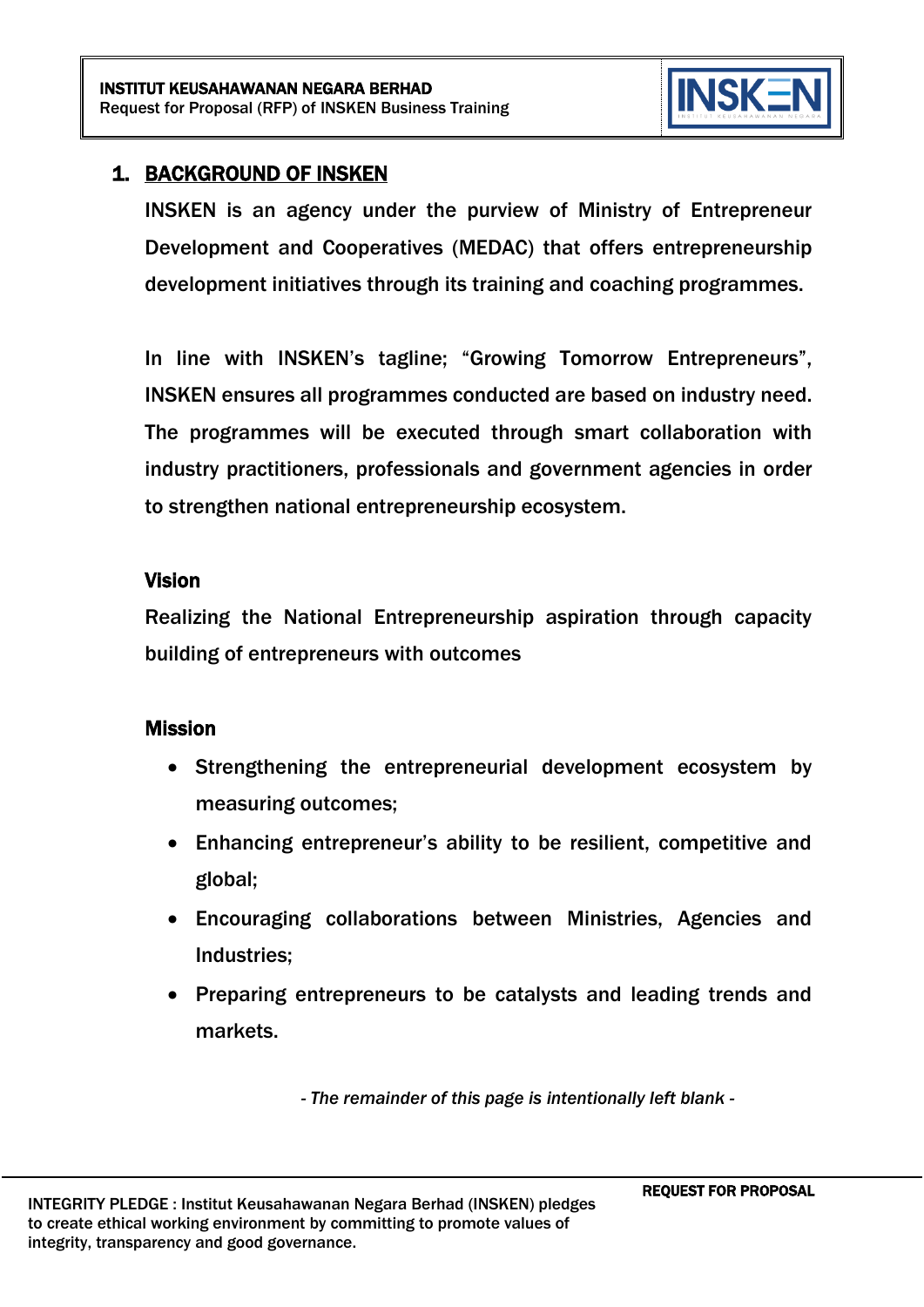

# 1. BACKGROUND OF INSKEN

INSKEN is an agency under the purview of Ministry of Entrepreneur Development and Cooperatives (MEDAC) that offers entrepreneurship development initiatives through its training and coaching programmes.

In line with INSKEN's tagline; "Growing Tomorrow Entrepreneurs", INSKEN ensures all programmes conducted are based on industry need. The programmes will be executed through smart collaboration with industry practitioners, professionals and government agencies in order to strengthen national entrepreneurship ecosystem.

#### Vision

Realizing the National Entrepreneurship aspiration through capacity building of entrepreneurs with outcomes

#### Mission

- Strengthening the entrepreneurial development ecosystem by measuring outcomes;
- Enhancing entrepreneur's ability to be resilient, competitive and global;
- Encouraging collaborations between Ministries, Agencies and Industries;
- Preparing entrepreneurs to be catalysts and leading trends and markets.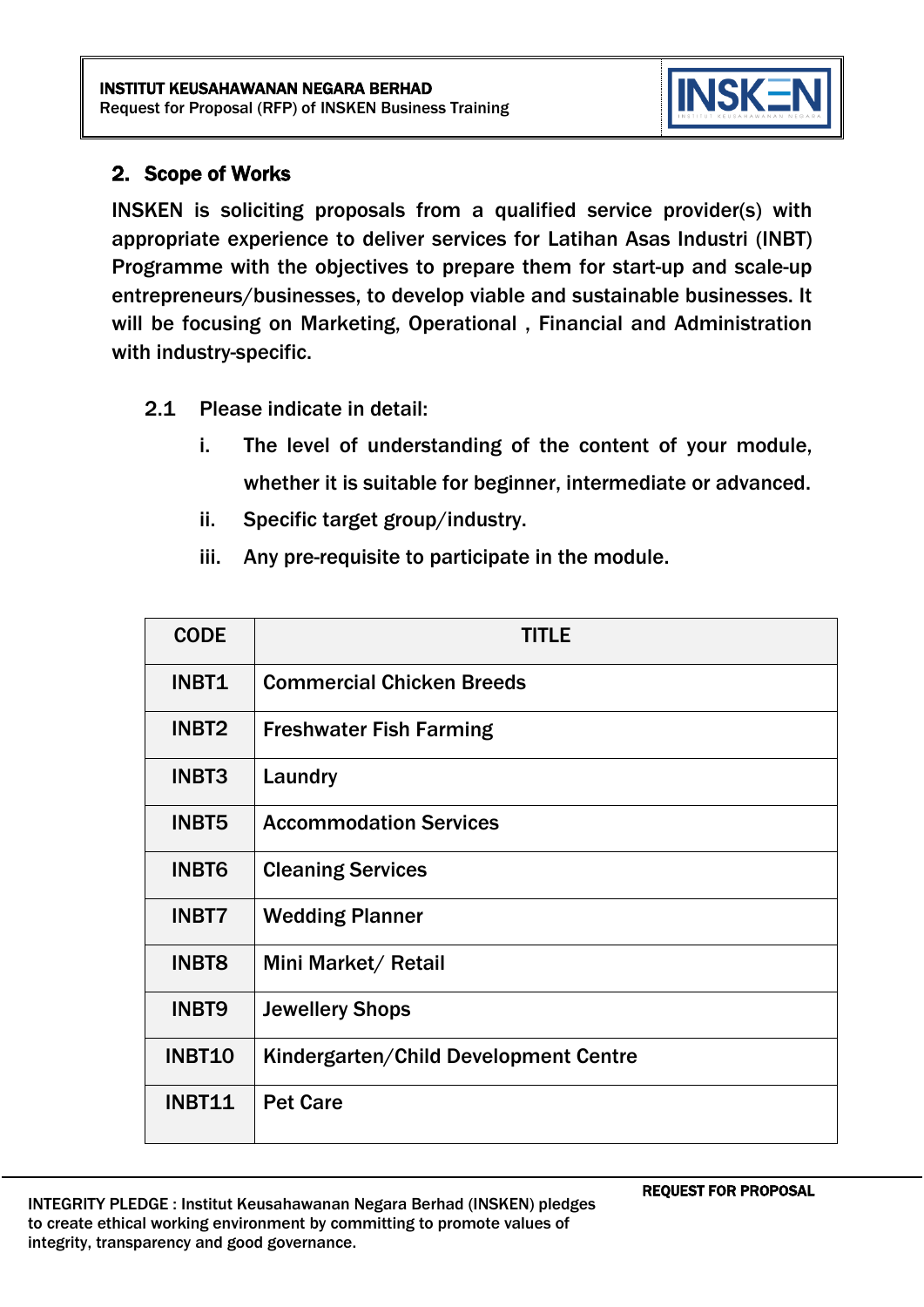

## 2. Scope of Works

INSKEN is soliciting proposals from a qualified service provider(s) with appropriate experience to deliver services for Latihan Asas Industri (INBT) Programme with the objectives to prepare them for start-up and scale-up entrepreneurs/businesses, to develop viable and sustainable businesses. It will be focusing on Marketing, Operational , Financial and Administration with industry-specific.

- 2.1 Please indicate in detail:
	- i. The level of understanding of the content of your module, whether it is suitable for beginner, intermediate or advanced.
	- ii. Specific target group/industry.
	- iii. Any pre-requisite to participate in the module.

| <b>CODE</b>   | TITLE                                 |
|---------------|---------------------------------------|
| INBT1         | <b>Commercial Chicken Breeds</b>      |
| <b>INBT2</b>  | <b>Freshwater Fish Farming</b>        |
| <b>INBT3</b>  | Laundry                               |
| <b>INBT5</b>  | <b>Accommodation Services</b>         |
| <b>INBT6</b>  | <b>Cleaning Services</b>              |
| <b>INBT7</b>  | <b>Wedding Planner</b>                |
| <b>INBT8</b>  | Mini Market/ Retail                   |
| <b>INBT9</b>  | <b>Jewellery Shops</b>                |
| <b>INBT10</b> | Kindergarten/Child Development Centre |
| <b>INBT11</b> | <b>Pet Care</b>                       |

REQUEST FOR PROPOSAL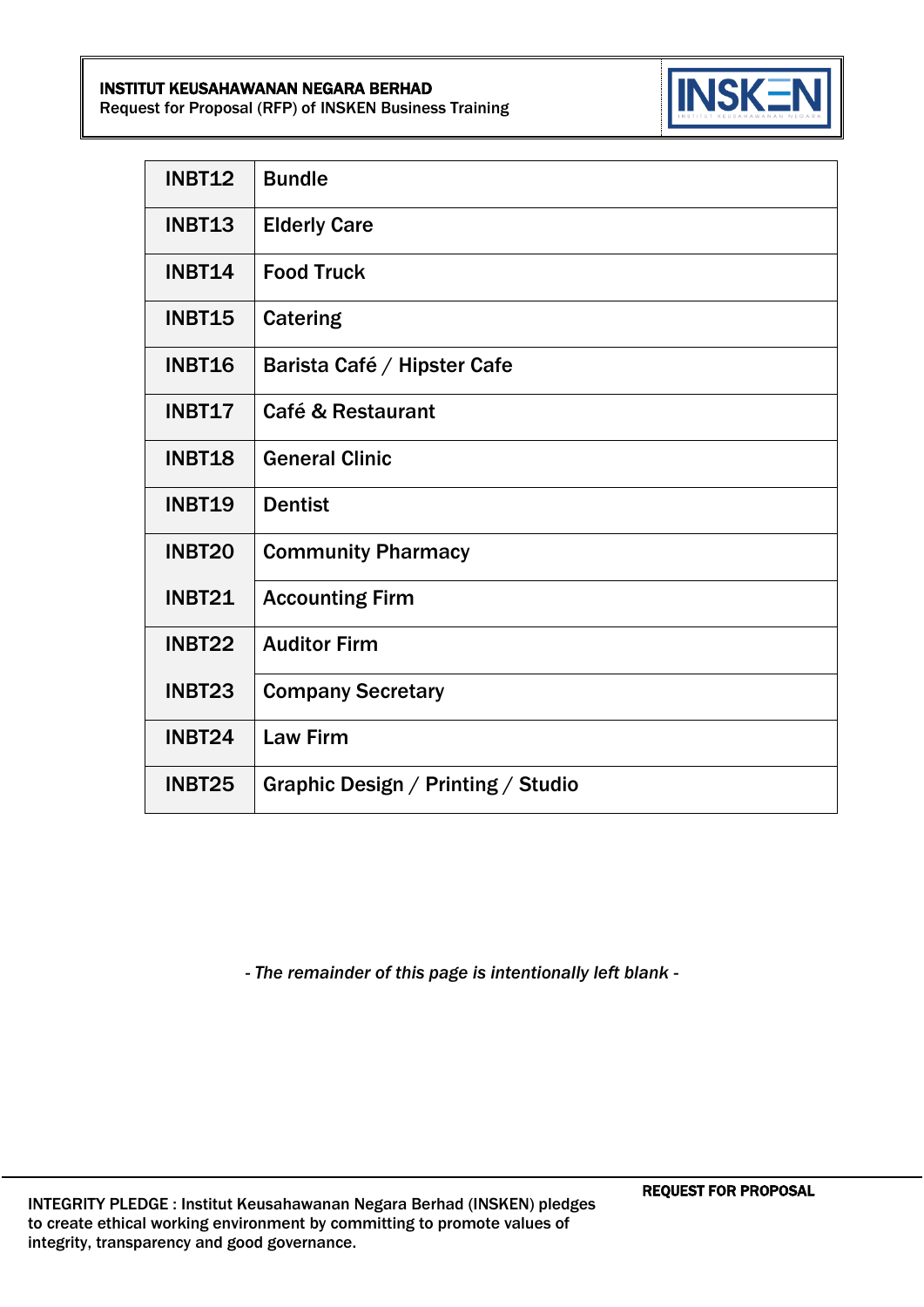#### INSTITUT KEUSAHAWANAN NEGARA BERHAD

Request for Proposal (RFP) of INSKEN Business Training



| <b>INBT12</b> | <b>Bundle</b>                      |
|---------------|------------------------------------|
| INBT13        | <b>Elderly Care</b>                |
| <b>INBT14</b> | <b>Food Truck</b>                  |
| <b>INBT15</b> | <b>Catering</b>                    |
| <b>INBT16</b> | Barista Café / Hipster Cafe        |
| <b>INBT17</b> | <b>Café &amp; Restaurant</b>       |
| INBT18        | <b>General Clinic</b>              |
| <b>INBT19</b> | <b>Dentist</b>                     |
| INBT20        | <b>Community Pharmacy</b>          |
| <b>INBT21</b> | <b>Accounting Firm</b>             |
| <b>INBT22</b> | <b>Auditor Firm</b>                |
| INBT23        | <b>Company Secretary</b>           |
| <b>INBT24</b> | <b>Law Firm</b>                    |
| INBT25        | Graphic Design / Printing / Studio |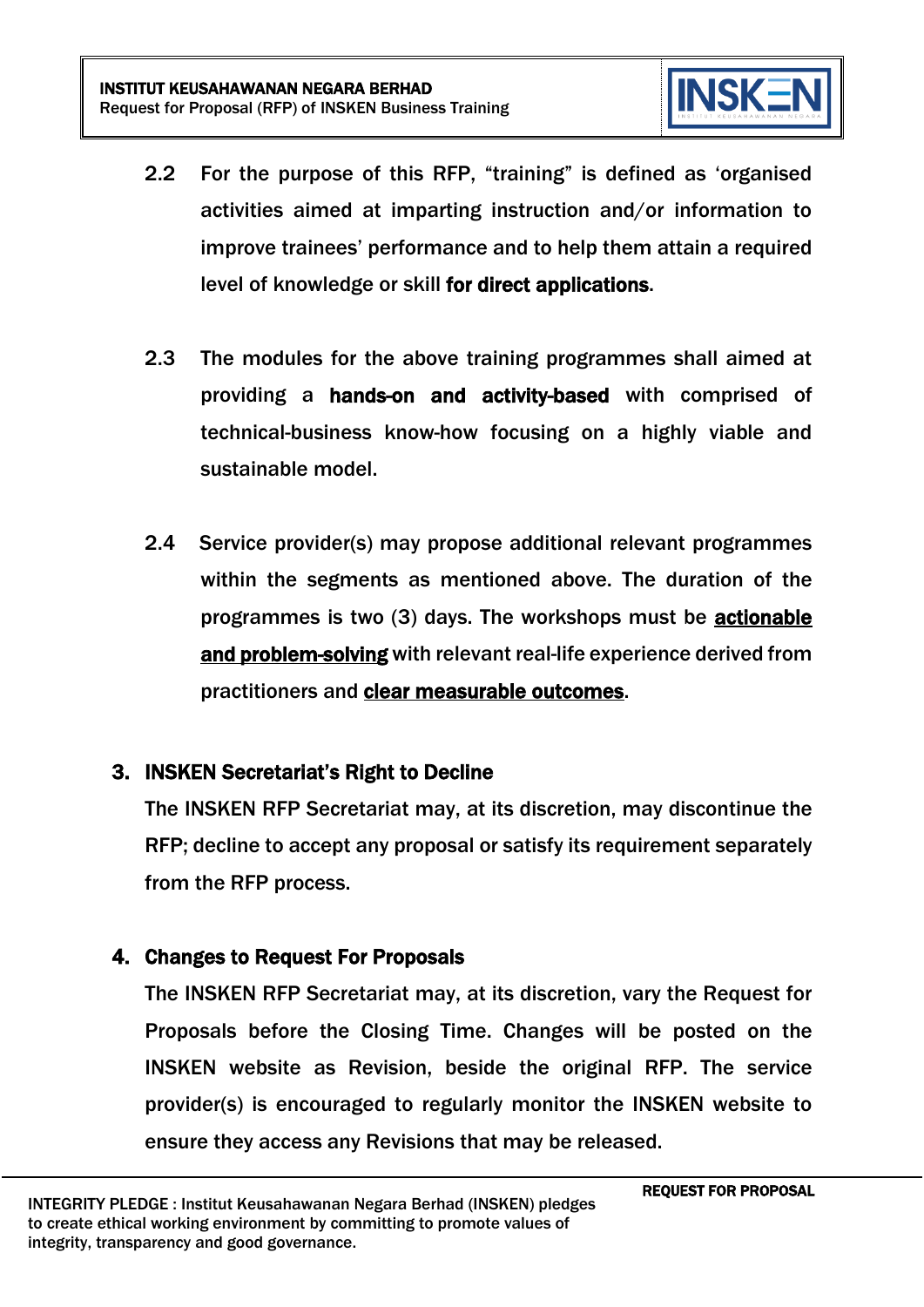

- 2.2 For the purpose of this RFP, "training" is defined as 'organised activities aimed at imparting instruction and/or information to improve trainees' performance and to help them attain a required level of knowledge or skill for direct applications.
- 2.3 The modules for the above training programmes shall aimed at providing a hands-on and activity-based with comprised of technical-business know-how focusing on a highly viable and sustainable model.
- 2.4 Service provider(s) may propose additional relevant programmes within the segments as mentioned above. The duration of the programmes is two (3) days. The workshops must be actionable and problem-solving with relevant real-life experience derived from practitioners and clear measurable outcomes.

#### 3. INSKEN Secretariat's Right to Decline

The INSKEN RFP Secretariat may, at its discretion, may discontinue the RFP; decline to accept any proposal or satisfy its requirement separately from the RFP process.

#### 4. Changes to Request For Proposals

The INSKEN RFP Secretariat may, at its discretion, vary the Request for Proposals before the Closing Time. Changes will be posted on the INSKEN website as Revision, beside the original RFP. The service provider(s) is encouraged to regularly monitor the INSKEN website to ensure they access any Revisions that may be released.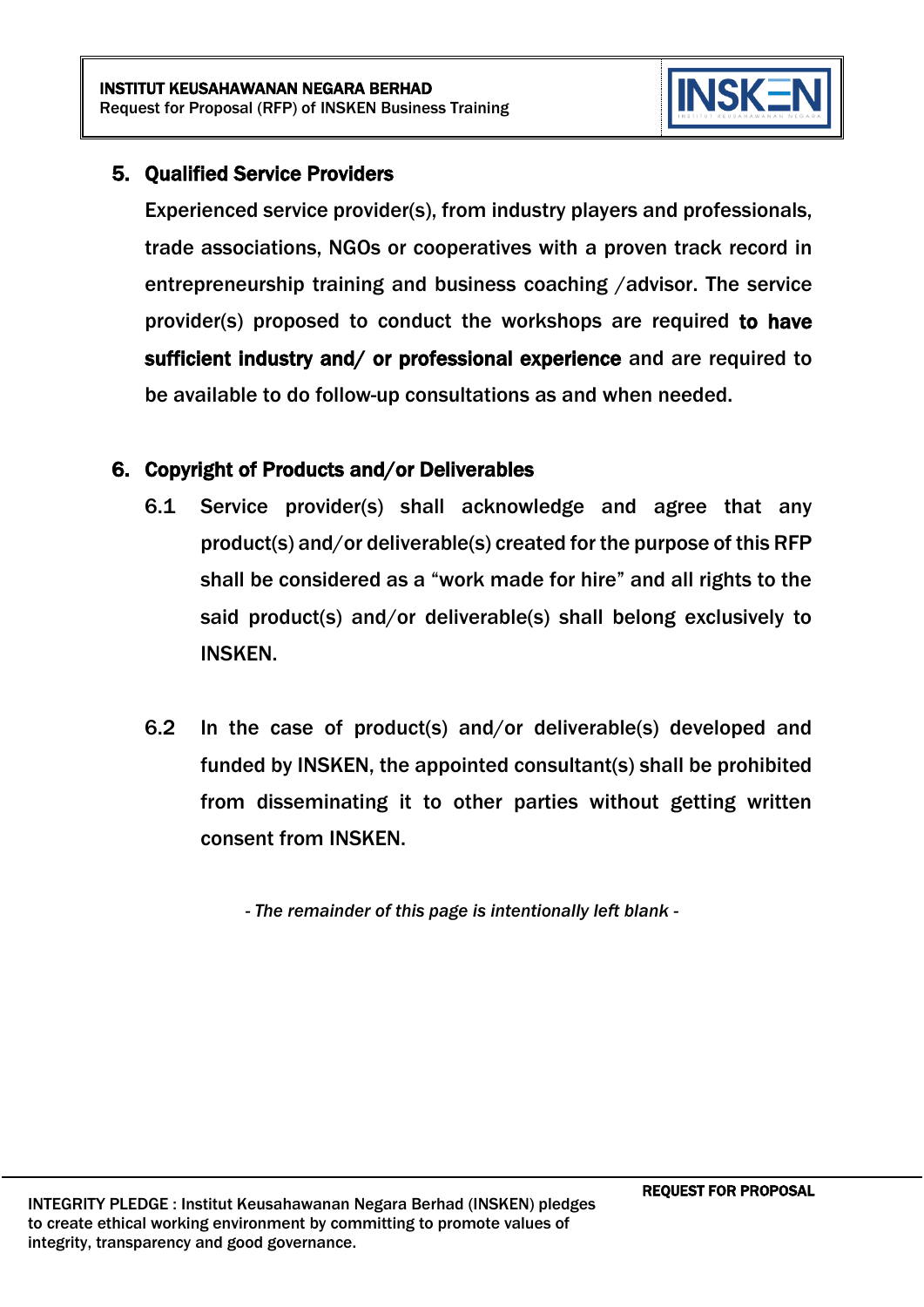

# 5. Qualified Service Providers

Experienced service provider(s), from industry players and professionals, trade associations, NGOs or cooperatives with a proven track record in entrepreneurship training and business coaching /advisor. The service provider(s) proposed to conduct the workshops are required to have sufficient industry and/ or professional experience and are required to be available to do follow-up consultations as and when needed.

#### 6. Copyright of Products and/or Deliverables

- 6.1 Service provider(s) shall acknowledge and agree that any product(s) and/or deliverable(s) created for the purpose of this RFP shall be considered as a "work made for hire" and all rights to the said product(s) and/or deliverable(s) shall belong exclusively to INSKEN.
- 6.2 In the case of product(s) and/or deliverable(s) developed and funded by INSKEN, the appointed consultant(s) shall be prohibited from disseminating it to other parties without getting written consent from INSKEN.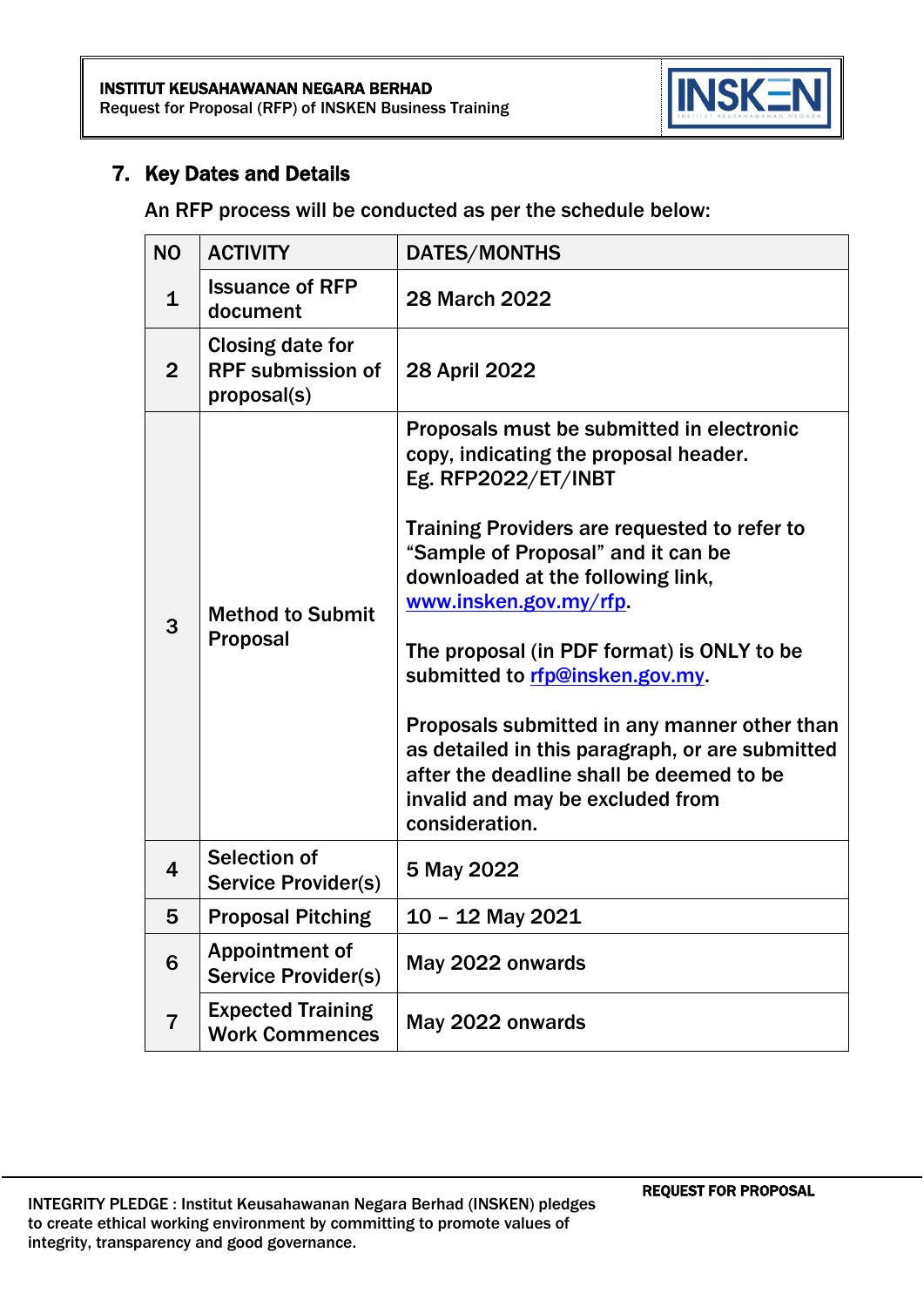

#### 7. Key Dates and Details

An RFP process will be conducted as per the schedule below:

| <b>NO</b>               | <b>ACTIVITY</b>                                                    | DATES/MONTHS                                                                                                                                                                                                                                                                                                                                                                                                                                                                                                                                         |
|-------------------------|--------------------------------------------------------------------|------------------------------------------------------------------------------------------------------------------------------------------------------------------------------------------------------------------------------------------------------------------------------------------------------------------------------------------------------------------------------------------------------------------------------------------------------------------------------------------------------------------------------------------------------|
| $\mathbf{1}$            | <b>Issuance of RFP</b><br>document                                 | <b>28 March 2022</b>                                                                                                                                                                                                                                                                                                                                                                                                                                                                                                                                 |
| $\overline{2}$          | <b>Closing date for</b><br><b>RPF submission of</b><br>proposal(s) | 28 April 2022                                                                                                                                                                                                                                                                                                                                                                                                                                                                                                                                        |
| 3                       | <b>Method to Submit</b><br><b>Proposal</b>                         | Proposals must be submitted in electronic<br>copy, indicating the proposal header.<br>Eg. RFP2022/ET/INBT<br>Training Providers are requested to refer to<br>"Sample of Proposal" and it can be<br>downloaded at the following link,<br>www.insken.gov.my/rfp.<br>The proposal (in PDF format) is ONLY to be<br>submitted to rfp@insken.gov.my.<br>Proposals submitted in any manner other than<br>as detailed in this paragraph, or are submitted<br>after the deadline shall be deemed to be<br>invalid and may be excluded from<br>consideration. |
| $\overline{\mathbf{4}}$ | Selection of<br><b>Service Provider(s)</b>                         | 5 May 2022                                                                                                                                                                                                                                                                                                                                                                                                                                                                                                                                           |
| 5                       | <b>Proposal Pitching</b>                                           | 10 - 12 May 2021                                                                                                                                                                                                                                                                                                                                                                                                                                                                                                                                     |
| 6                       | <b>Appointment of</b><br><b>Service Provider(s)</b>                | May 2022 onwards                                                                                                                                                                                                                                                                                                                                                                                                                                                                                                                                     |
| $\overline{7}$          | <b>Expected Training</b><br><b>Work Commences</b>                  | May 2022 onwards                                                                                                                                                                                                                                                                                                                                                                                                                                                                                                                                     |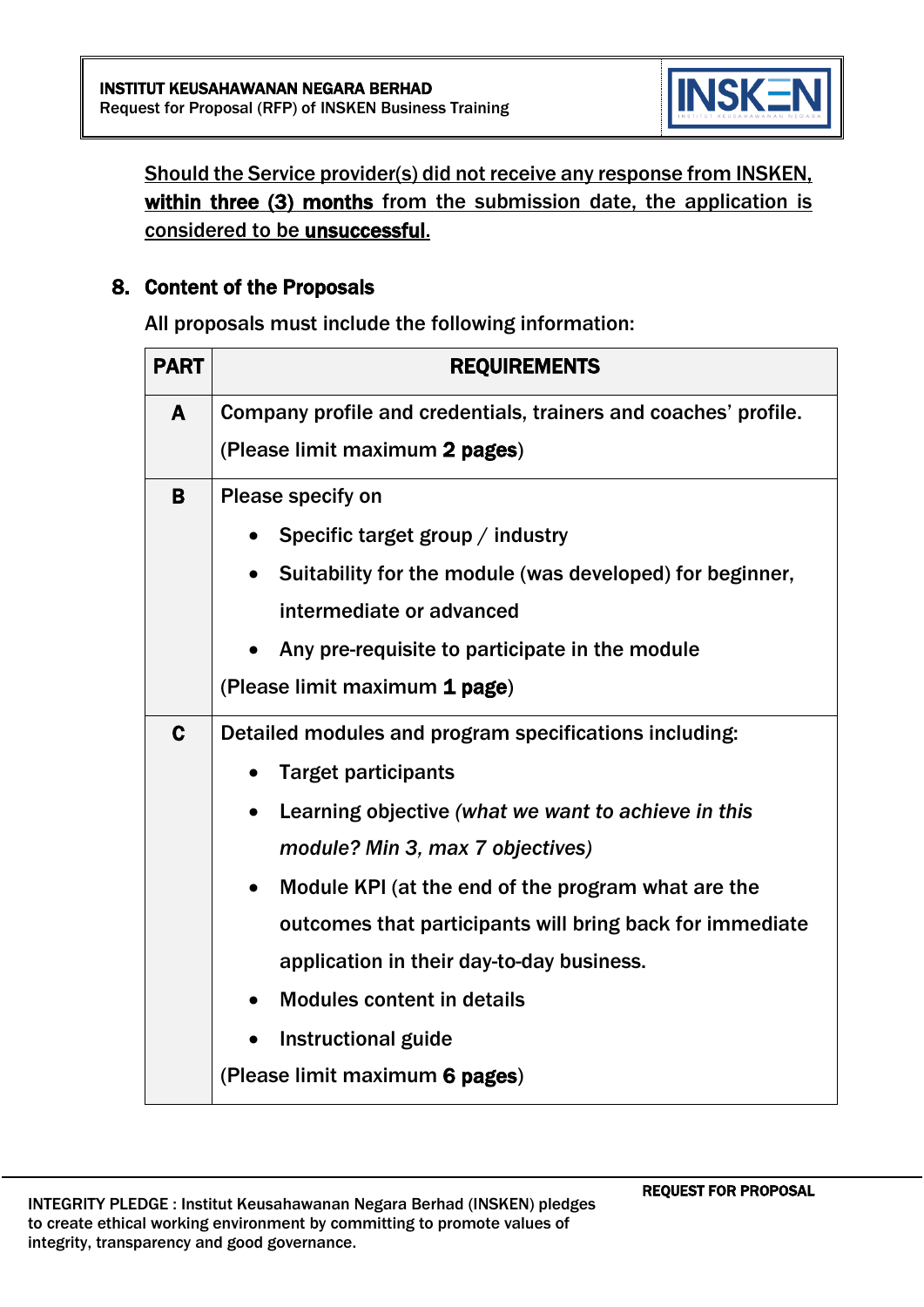

Should the Service provider(s) did not receive any response from INSKEN, within three (3) months from the submission date, the application is considered to be unsuccessful.

#### 8. Content of the Proposals

All proposals must include the following information:

| <b>PART</b> | <b>REQUIREMENTS</b>                                              |  |  |
|-------------|------------------------------------------------------------------|--|--|
| A           | Company profile and credentials, trainers and coaches' profile.  |  |  |
|             | (Please limit maximum 2 pages)                                   |  |  |
| B           | Please specify on                                                |  |  |
|             | Specific target group / industry                                 |  |  |
|             | Suitability for the module (was developed) for beginner,         |  |  |
|             | intermediate or advanced                                         |  |  |
|             | Any pre-requisite to participate in the module                   |  |  |
|             | (Please limit maximum 1 page)                                    |  |  |
| $\mathbf C$ | Detailed modules and program specifications including:           |  |  |
|             | <b>Target participants</b>                                       |  |  |
|             | Learning objective (what we want to achieve in this<br>$\bullet$ |  |  |
|             | module? Min 3, max 7 objectives)                                 |  |  |
|             | Module KPI (at the end of the program what are the<br>$\bullet$  |  |  |
|             | outcomes that participants will bring back for immediate         |  |  |
|             | application in their day-to-day business.                        |  |  |
|             | <b>Modules content in details</b>                                |  |  |
|             | <b>Instructional guide</b>                                       |  |  |
|             | (Please limit maximum 6 pages)                                   |  |  |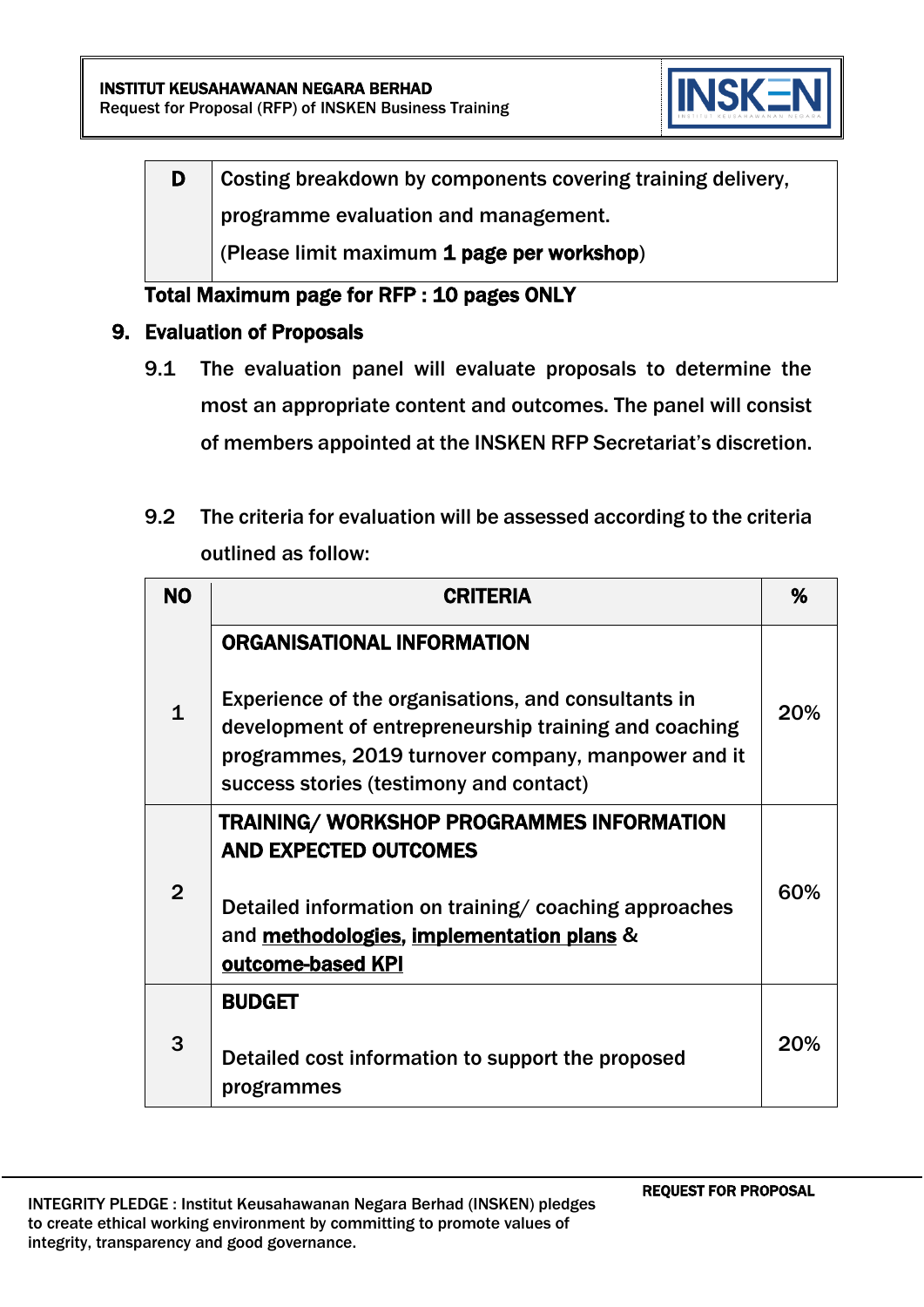

D Costing breakdown by components covering training delivery, programme evaluation and management. (Please limit maximum 1 page per workshop)

# Total Maximum page for RFP : 10 pages ONLY

- 9. Evaluation of Proposals
	- 9.1 The evaluation panel will evaluate proposals to determine the most an appropriate content and outcomes. The panel will consist of members appointed at the INSKEN RFP Secretariat's discretion.
	- 9.2 The criteria for evaluation will be assessed according to the criteria outlined as follow:

| <b>NO</b>      | <b>CRITERIA</b>                                                                                                                                                                                                                                    | %   |
|----------------|----------------------------------------------------------------------------------------------------------------------------------------------------------------------------------------------------------------------------------------------------|-----|
| $\mathbf{1}$   | <b>ORGANISATIONAL INFORMATION</b><br>Experience of the organisations, and consultants in<br>development of entrepreneurship training and coaching<br>programmes, 2019 turnover company, manpower and it<br>success stories (testimony and contact) | 20% |
| $\overline{2}$ | <b>TRAINING/ WORKSHOP PROGRAMMES INFORMATION</b><br><b>AND EXPECTED OUTCOMES</b><br>Detailed information on training/coaching approaches<br>and methodologies, implementation plans &<br>outcome-based KPI                                         | 60% |
| 3              | <b>BUDGET</b><br>Detailed cost information to support the proposed<br>programmes                                                                                                                                                                   | 20% |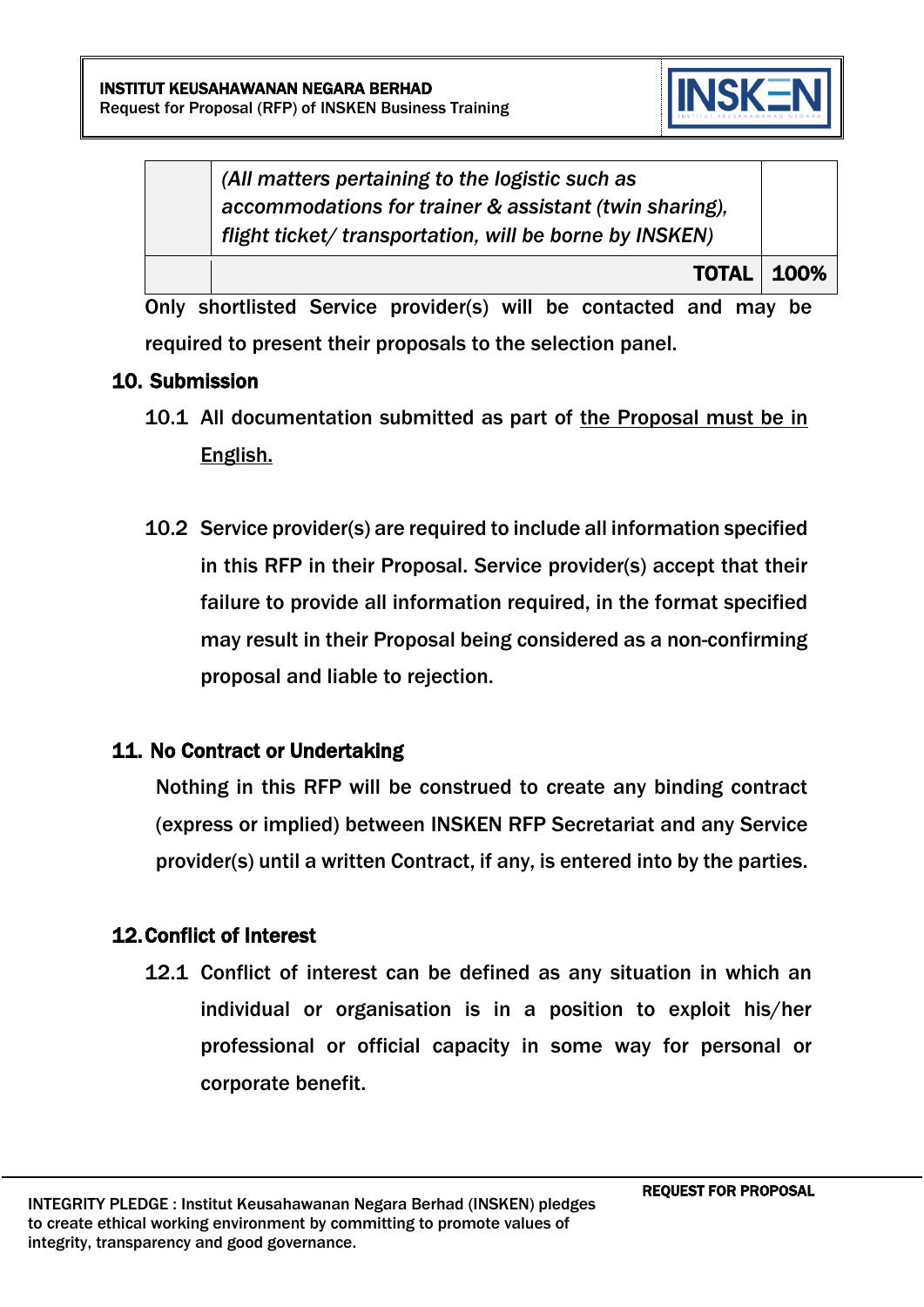

*(All matters pertaining to the logistic such as accommodations for trainer & assistant (twin sharing), flight ticket/ transportation, will be borne by INSKEN)*

TOTAL 100%

Only shortlisted Service provider(s) will be contacted and may be required to present their proposals to the selection panel.

## 10. Submission

- 10.1 All documentation submitted as part of the Proposal must be in English.
- 10.2 Service provider(s) are required to include all information specified in this RFP in their Proposal. Service provider(s) accept that their failure to provide all information required, in the format specified may result in their Proposal being considered as a non-confirming proposal and liable to rejection.

# 11. No Contract or Undertaking

Nothing in this RFP will be construed to create any binding contract (express or implied) between INSKEN RFP Secretariat and any Service provider(s) until a written Contract, if any, is entered into by the parties.

# 12.Conflict of Interest

12.1 Conflict of interest can be defined as any situation in which an individual or organisation is in a position to exploit his/her professional or official capacity in some way for personal or corporate benefit.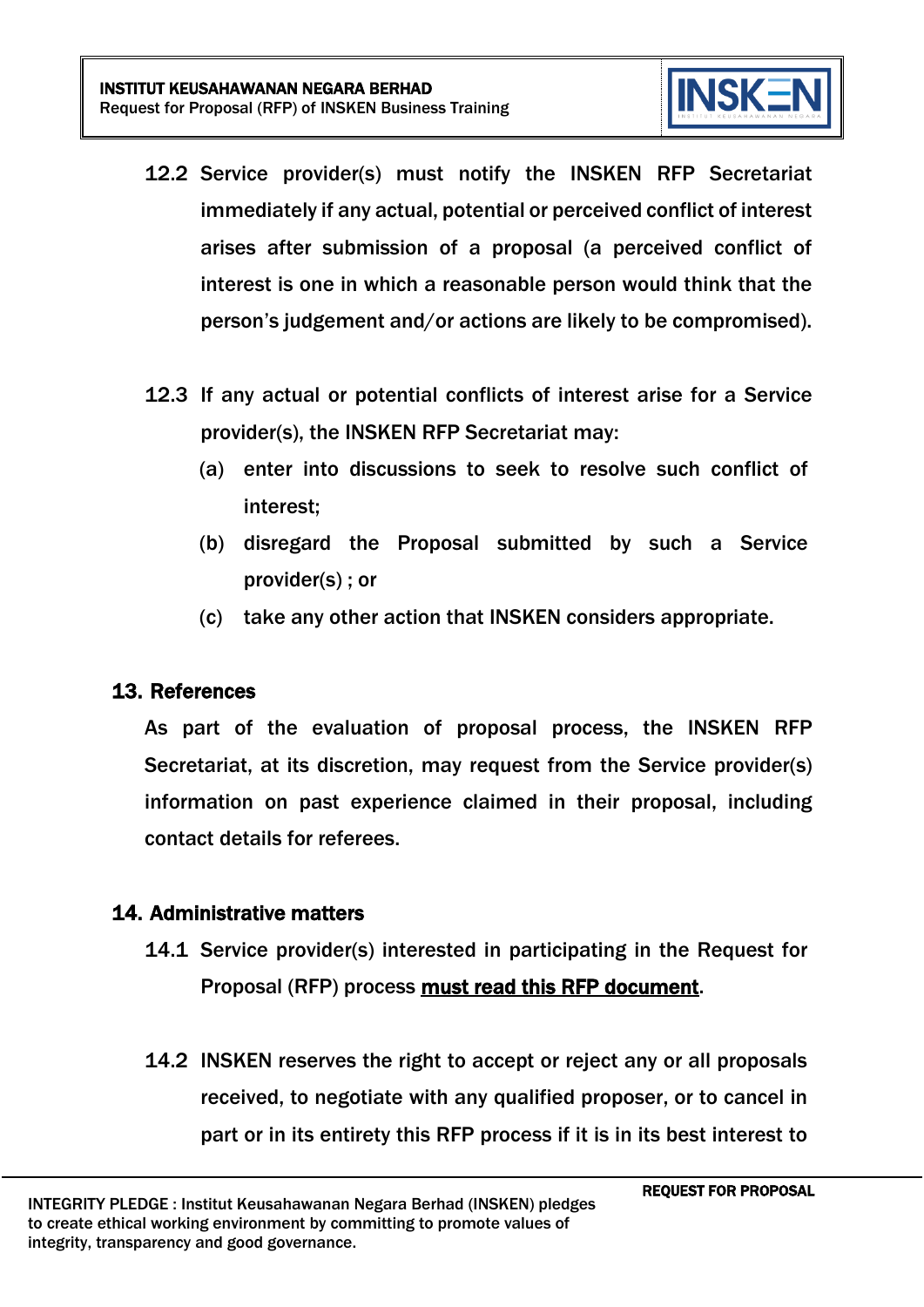

- 12.2 Service provider(s) must notify the INSKEN RFP Secretariat immediately if any actual, potential or perceived conflict of interest arises after submission of a proposal (a perceived conflict of interest is one in which a reasonable person would think that the person's judgement and/or actions are likely to be compromised).
- 12.3 If any actual or potential conflicts of interest arise for a Service provider(s), the INSKEN RFP Secretariat may:
	- (a) enter into discussions to seek to resolve such conflict of interest;
	- (b) disregard the Proposal submitted by such a Service provider(s) ; or
	- (c) take any other action that INSKEN considers appropriate.

#### 13. References

As part of the evaluation of proposal process, the INSKEN RFP Secretariat, at its discretion, may request from the Service provider(s) information on past experience claimed in their proposal, including contact details for referees.

#### 14. Administrative matters

- 14.1 Service provider(s) interested in participating in the Request for Proposal (RFP) process must read this RFP document.
- 14.2 INSKEN reserves the right to accept or reject any or all proposals received, to negotiate with any qualified proposer, or to cancel in part or in its entirety this RFP process if it is in its best interest to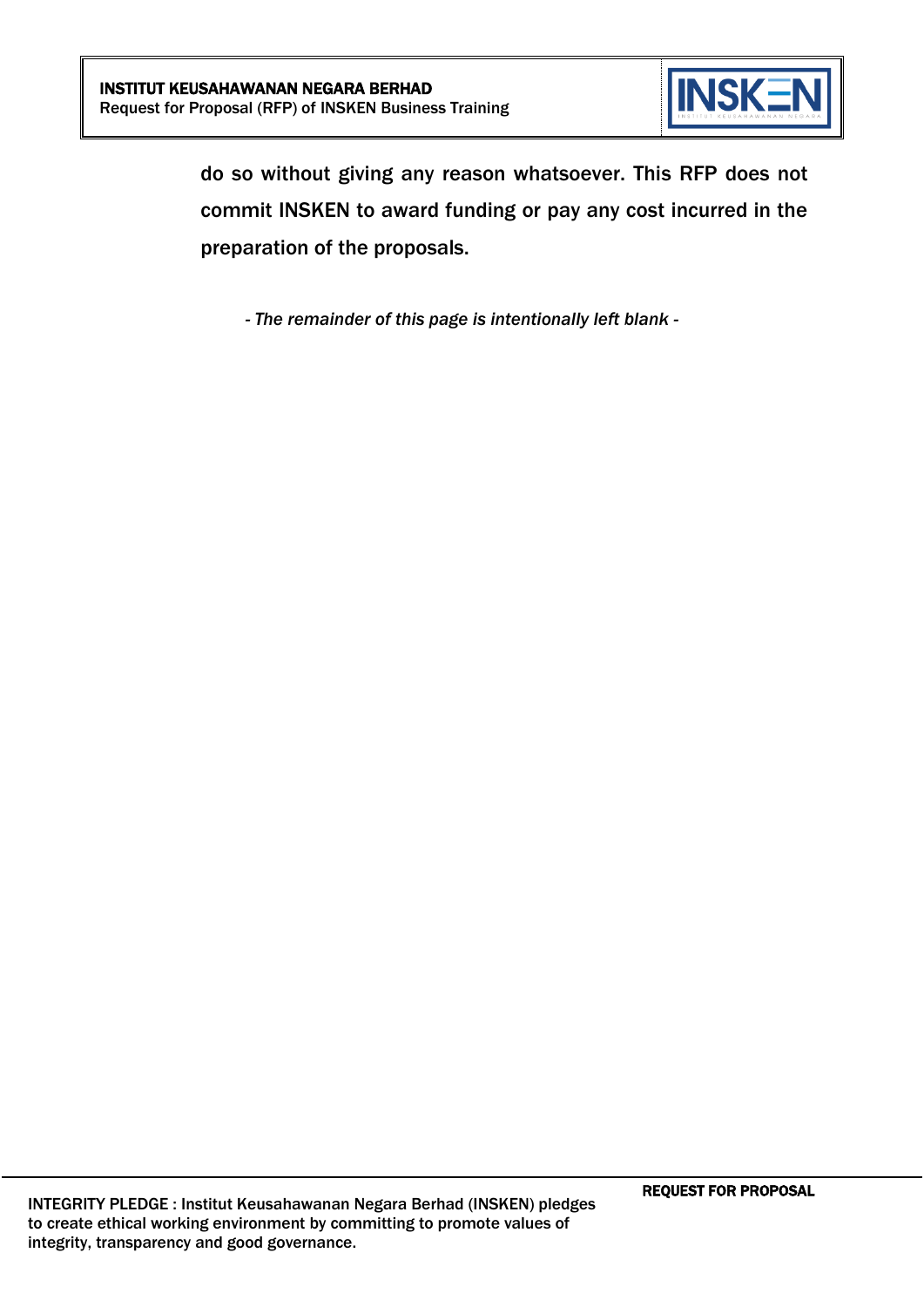

do so without giving any reason whatsoever. This RFP does not commit INSKEN to award funding or pay any cost incurred in the preparation of the proposals.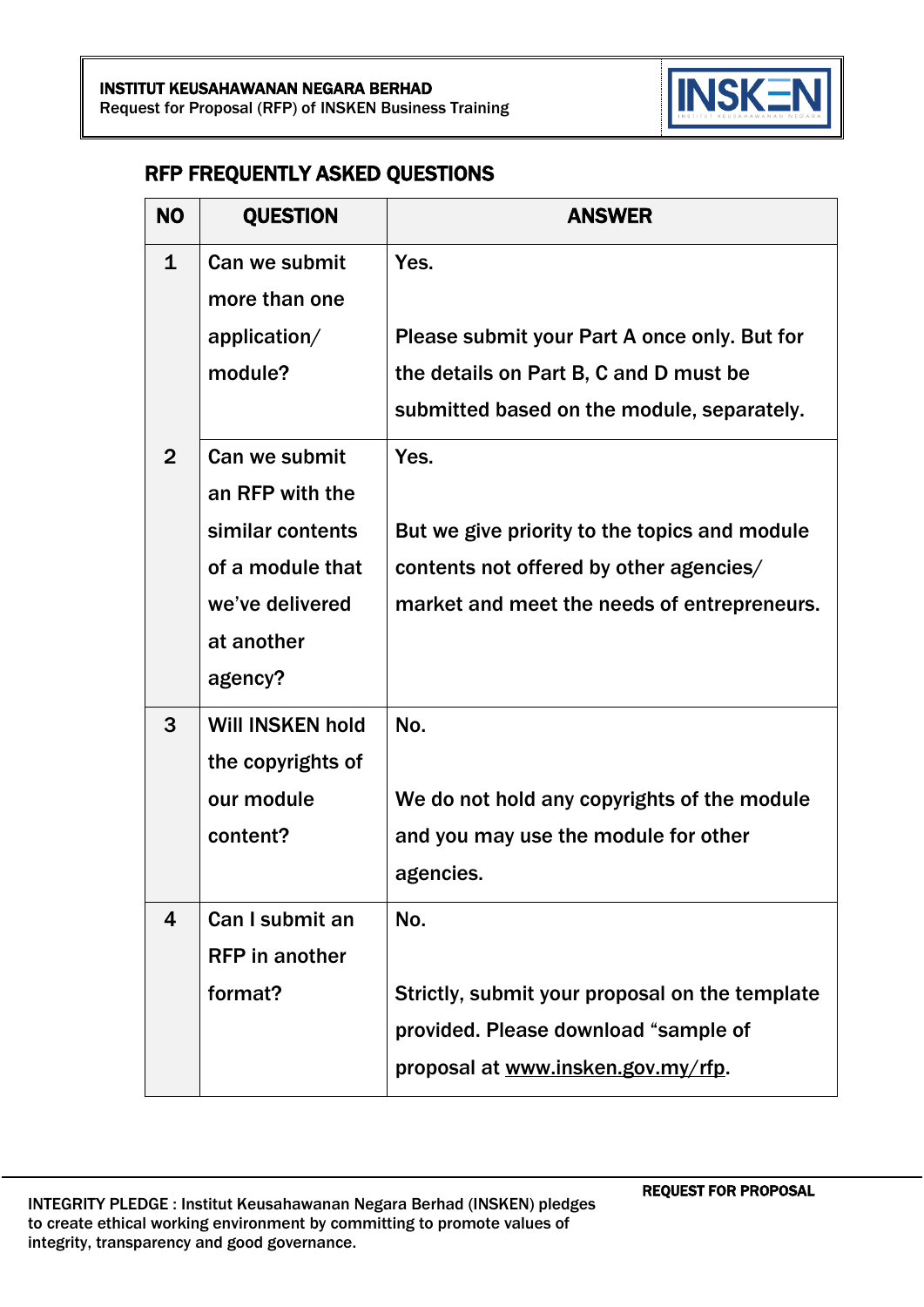

#### RFP FREQUENTLY ASKED QUESTIONS

| <b>NO</b>      | <b>QUESTION</b>         | <b>ANSWER</b>                                  |
|----------------|-------------------------|------------------------------------------------|
| $\mathbf{1}$   | Can we submit           | Yes.                                           |
|                | more than one           |                                                |
|                | application/            | Please submit your Part A once only. But for   |
|                | module?                 | the details on Part B, C and D must be         |
|                |                         | submitted based on the module, separately.     |
| $\overline{2}$ | Can we submit           | Yes.                                           |
|                | an RFP with the         |                                                |
|                | similar contents        | But we give priority to the topics and module  |
|                | of a module that        | contents not offered by other agencies/        |
|                | we've delivered         | market and meet the needs of entrepreneurs.    |
|                | at another              |                                                |
|                | agency?                 |                                                |
| 3              | <b>Will INSKEN hold</b> | No.                                            |
|                | the copyrights of       |                                                |
|                | our module              | We do not hold any copyrights of the module    |
|                | content?                | and you may use the module for other           |
|                |                         | agencies.                                      |
| 4              | Can I submit an         | No.                                            |
|                | <b>RFP</b> in another   |                                                |
|                | format?                 | Strictly, submit your proposal on the template |
|                |                         | provided. Please download "sample of           |
|                |                         | proposal at www.insken.gov.my/rfp.             |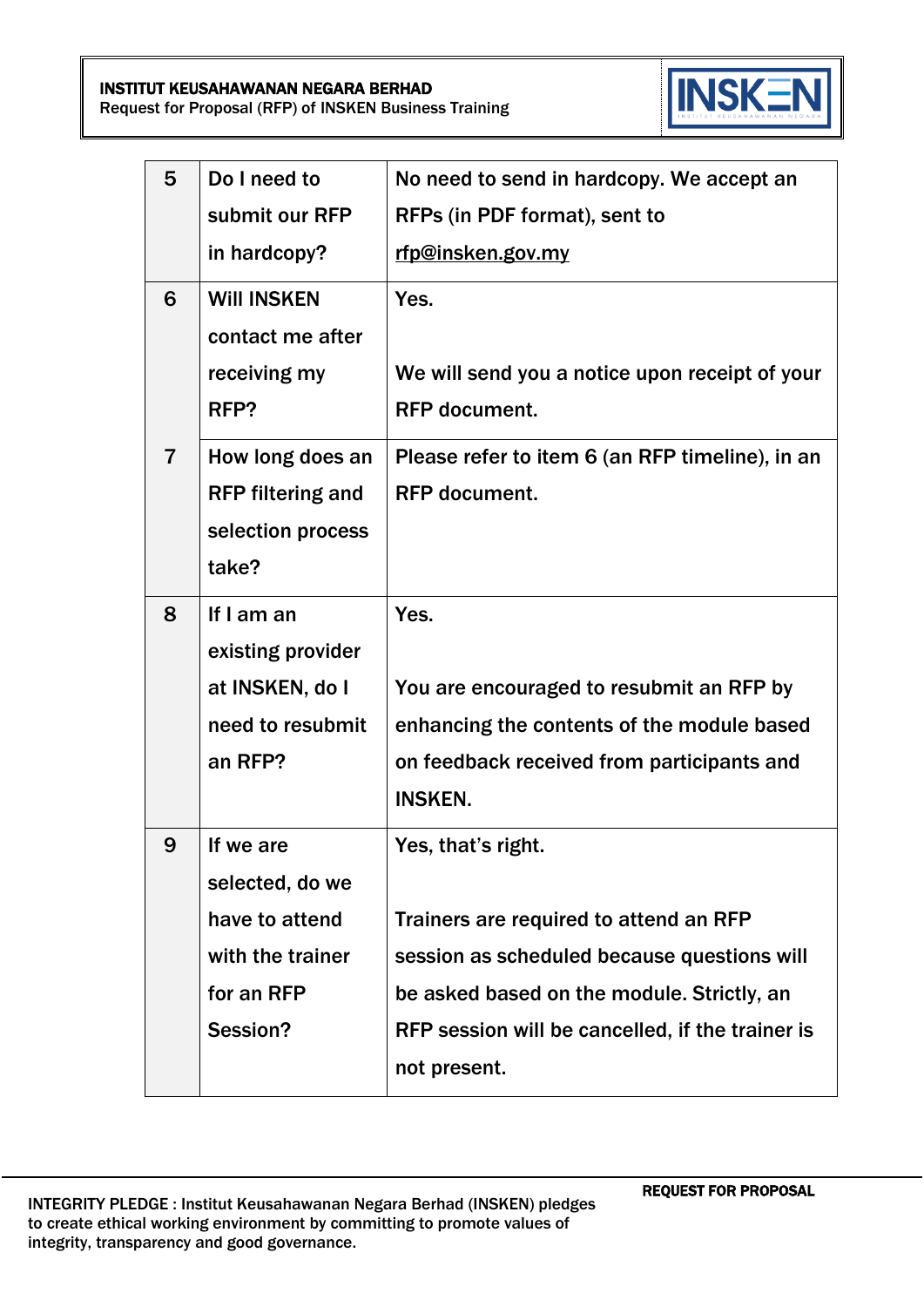INSTITUT KEUSAHAWANAN NEGARA BERHAD Request for Proposal (RFP) of INSKEN Business Training



| 5              | Do I need to                                                                                 | No need to send in hardcopy. We accept an                                                                                                                                                                                     |
|----------------|----------------------------------------------------------------------------------------------|-------------------------------------------------------------------------------------------------------------------------------------------------------------------------------------------------------------------------------|
|                | submit our RFP                                                                               | RFPs (in PDF format), sent to                                                                                                                                                                                                 |
|                | in hardcopy?                                                                                 | rfp@insken.gov.my                                                                                                                                                                                                             |
| 6              | <b>WIII INSKEN</b><br>contact me after<br>receiving my<br>RFP?                               | Yes.<br>We will send you a notice upon receipt of your<br><b>RFP</b> document.                                                                                                                                                |
| $\overline{7}$ | How long does an<br><b>RFP filtering and</b><br>selection process<br>take?                   | Please refer to item 6 (an RFP timeline), in an<br><b>RFP</b> document.                                                                                                                                                       |
| 8              | If I am an<br>existing provider<br>at INSKEN, do I<br>need to resubmit<br>an RFP?            | Yes.<br>You are encouraged to resubmit an RFP by<br>enhancing the contents of the module based<br>on feedback received from participants and<br><b>INSKEN.</b>                                                                |
| 9              | If we are<br>selected, do we<br>have to attend<br>with the trainer<br>for an RFP<br>Session? | Yes, that's right.<br>Trainers are required to attend an RFP<br>session as scheduled because questions will<br>be asked based on the module. Strictly, an<br>RFP session will be cancelled, if the trainer is<br>not present. |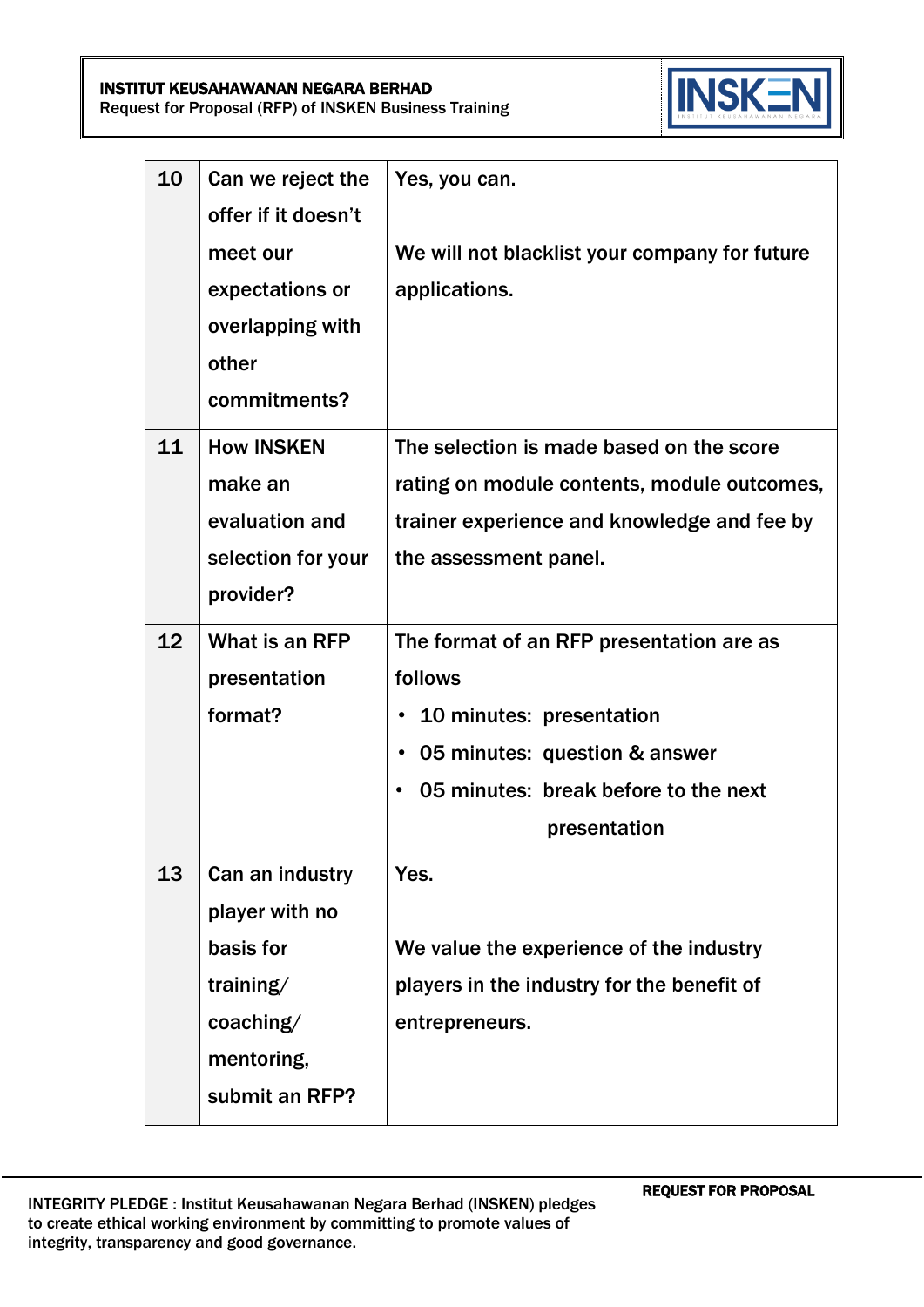INSTITUT KEUSAHAWANAN NEGARA BERHAD Request for Proposal (RFP) of INSKEN Business Training



| 10              | Can we reject the   | Yes, you can.                                 |
|-----------------|---------------------|-----------------------------------------------|
|                 | offer if it doesn't |                                               |
|                 | meet our            | We will not blacklist your company for future |
|                 | expectations or     | applications.                                 |
|                 | overlapping with    |                                               |
|                 | other               |                                               |
|                 | commitments?        |                                               |
| 11              | <b>How INSKEN</b>   | The selection is made based on the score      |
|                 | make an             | rating on module contents, module outcomes,   |
|                 | evaluation and      | trainer experience and knowledge and fee by   |
|                 | selection for your  | the assessment panel.                         |
|                 | provider?           |                                               |
| 12 <sub>2</sub> | What is an RFP      | The format of an RFP presentation are as      |
|                 | presentation        | follows                                       |
|                 | format?             | 10 minutes: presentation<br>$\bullet$         |
|                 |                     | 05 minutes: question & answer<br>$\bullet$    |
|                 |                     | 05 minutes: break before to the next          |
|                 |                     | presentation                                  |
| 13              | Can an industry     | Yes.                                          |
|                 | player with no      |                                               |
|                 | basis for           | We value the experience of the industry       |
|                 | training/           | players in the industry for the benefit of    |
|                 | coaching/           | entrepreneurs.                                |
|                 | mentoring,          |                                               |
|                 | submit an RFP?      |                                               |